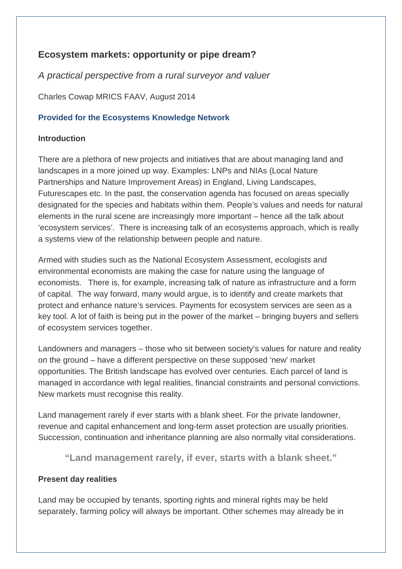## **Ecosystem markets: opportunity or pipe dream?**

*A practical perspective from a rural surveyor and valuer*

Charles Cowap MRICS FAAV, August 2014

## **Provided for the Ecosystems Knowledge Network**

### **Introduction**

There are a plethora of new projects and initiatives that are about managing land and landscapes in a more joined up way. Examples: LNPs and NIAs (Local Nature Partnerships and Nature Improvement Areas) in England, Living Landscapes, Futurescapes etc. In the past, the conservation agenda has focused on areas specially designated for the species and habitats within them. People's values and needs for natural elements in the rural scene are increasingly more important – hence all the talk about 'ecosystem services'. There is increasing talk of an ecosystems approach, which is really a systems view of the relationship between people and nature.

Armed with studies such as the National Ecosystem Assessment, ecologists and environmental economists are making the case for nature using the language of economists. There is, for example, increasing talk of nature as infrastructure and a form of capital. The way forward, many would argue, is to identify and create markets that protect and enhance nature's services. Payments for ecosystem services are seen as a key tool. A lot of faith is being put in the power of the market – bringing buyers and sellers of ecosystem services together.

Landowners and managers – those who sit between society's values for nature and reality on the ground – have a different perspective on these supposed 'new' market opportunities. The British landscape has evolved over centuries. Each parcel of land is managed in accordance with legal realities, financial constraints and personal convictions. New markets must recognise this reality.

Land management rarely if ever starts with a blank sheet. For the private landowner, revenue and capital enhancement and long-term asset protection are usually priorities. Succession, continuation and inheritance planning are also normally vital considerations.

**"Land management rarely, if ever, starts with a blank sheet."**

#### **Present day realities**

Land may be occupied by tenants, sporting rights and mineral rights may be held separately, farming policy will always be important. Other schemes may already be in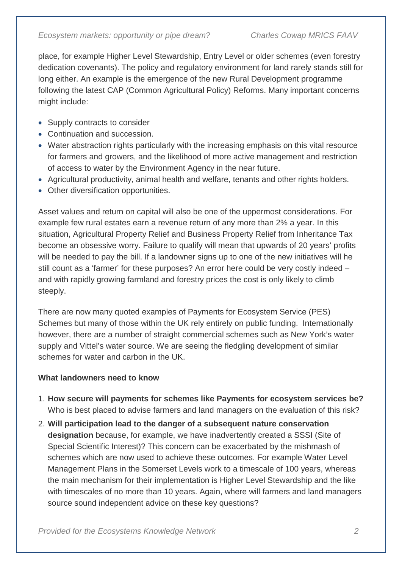place, for example Higher Level Stewardship, Entry Level or older schemes (even forestry dedication covenants). The policy and regulatory environment for land rarely stands still for long either. An example is the emergence of the new Rural Development programme following the latest CAP (Common Agricultural Policy) Reforms. Many important concerns might include:

- Supply contracts to consider
- Continuation and succession.
- Water abstraction rights particularly with the increasing emphasis on this vital resource for farmers and growers, and the likelihood of more active management and restriction of access to water by the Environment Agency in the near future.
- Agricultural productivity, animal health and welfare, tenants and other rights holders.
- Other diversification opportunities.

Asset values and return on capital will also be one of the uppermost considerations. For example few rural estates earn a revenue return of any more than 2% a year. In this situation, Agricultural Property Relief and Business Property Relief from Inheritance Tax become an obsessive worry. Failure to qualify will mean that upwards of 20 years' profits will be needed to pay the bill. If a landowner signs up to one of the new initiatives will he still count as a 'farmer' for these purposes? An error here could be very costly indeed – and with rapidly growing farmland and forestry prices the cost is only likely to climb steeply.

There are now many quoted examples of Payments for Ecosystem Service (PES) Schemes but many of those within the UK rely entirely on public funding. Internationally however, there are a number of straight commercial schemes such as New York's water supply and Vittel's water source. We are seeing the fledgling development of similar schemes for water and carbon in the UK.

# **What landowners need to know**

- 1. **How secure will payments for schemes like Payments for ecosystem services be?**  Who is best placed to advise farmers and land managers on the evaluation of this risk?
- 2. **Will participation lead to the danger of a subsequent nature conservation designation** because, for example, we have inadvertently created a SSSI (Site of Special Scientific Interest)? This concern can be exacerbated by the mishmash of schemes which are now used to achieve these outcomes. For example Water Level Management Plans in the Somerset Levels work to a timescale of 100 years, whereas the main mechanism for their implementation is Higher Level Stewardship and the like with timescales of no more than 10 years. Again, where will farmers and land managers source sound independent advice on these key questions?